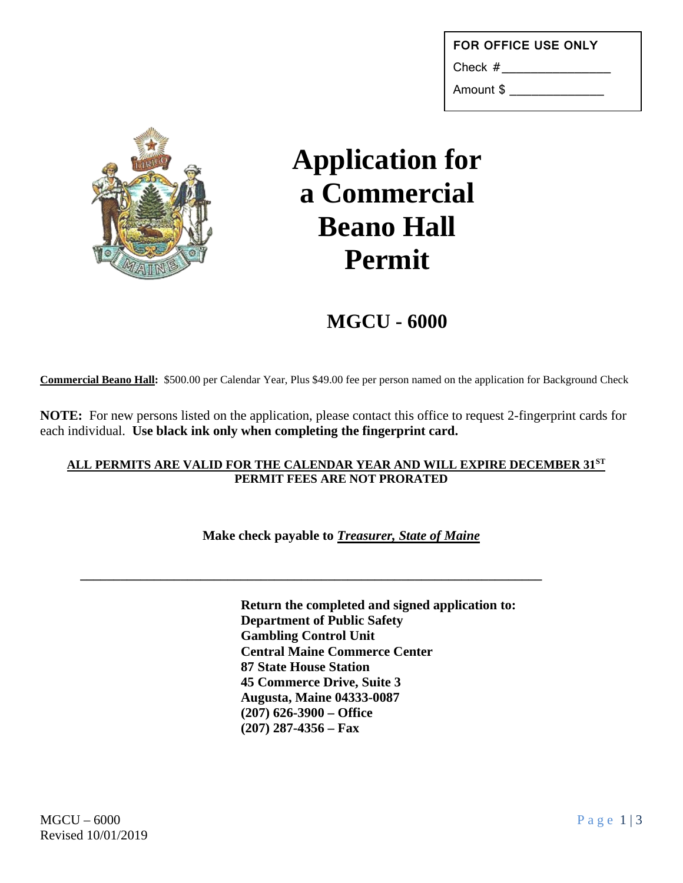| <b>FOR OFFICE USE ONLY</b> |
|----------------------------|
| Check #                    |
| Amount \$                  |



# **Application for a Commercial Beano Hall Permit**

**MGCU - 6000**

**Commercial Beano Hall:** \$500.00 per Calendar Year, Plus \$49.00 fee per person named on the application for Background Check

**NOTE:** For new persons listed on the application, please contact this office to request 2-fingerprint cards for each individual. **Use black ink only when completing the fingerprint card.**

#### **ALL PERMITS ARE VALID FOR THE CALENDAR YEAR AND WILL EXPIRE DECEMBER 31ST PERMIT FEES ARE NOT PRORATED**

**Make check payable to** *Treasurer, State of Maine*

**\_\_\_\_\_\_\_\_\_\_\_\_\_\_\_\_\_\_\_\_\_\_\_\_\_\_\_\_\_\_\_\_\_\_\_\_\_\_\_\_\_\_\_\_\_\_\_\_\_\_\_\_\_\_\_\_\_\_\_\_\_\_\_\_\_\_\_\_\_**

**Return the completed and signed application to: Department of Public Safety Gambling Control Unit Central Maine Commerce Center 87 State House Station 45 Commerce Drive, Suite 3 Augusta, Maine 04333-0087 (207) 626-3900 – Office (207) 287-4356 – Fax**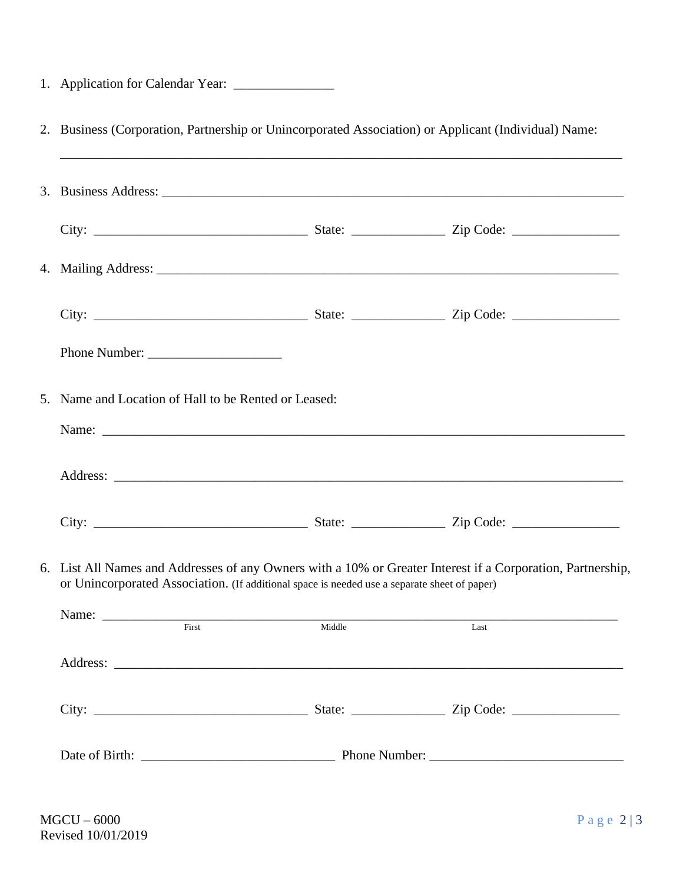| 2. Business (Corporation, Partnership or Unincorporated Association) or Applicant (Individual) Name:<br>,我们也不能会在这里,我们也不能会在这里,我们也不能会在这里,我们也不能会在这里,我们也不能会在这里,我们也不能会在这里,我们也不能会在这里,我们也不能会不能会                    |  |      |
|-------------------------------------------------------------------------------------------------------------------------------------------------------------------------------------------------------------|--|------|
|                                                                                                                                                                                                             |  |      |
|                                                                                                                                                                                                             |  |      |
|                                                                                                                                                                                                             |  |      |
|                                                                                                                                                                                                             |  |      |
|                                                                                                                                                                                                             |  |      |
| 5. Name and Location of Hall to be Rented or Leased:                                                                                                                                                        |  |      |
|                                                                                                                                                                                                             |  |      |
|                                                                                                                                                                                                             |  |      |
|                                                                                                                                                                                                             |  |      |
| 6. List All Names and Addresses of any Owners with a 10% or Greater Interest if a Corporation, Partnership,<br>or Unincorporated Association. (If additional space is needed use a separate sheet of paper) |  |      |
| Name: First Middle                                                                                                                                                                                          |  | Last |
|                                                                                                                                                                                                             |  |      |
|                                                                                                                                                                                                             |  |      |
|                                                                                                                                                                                                             |  |      |